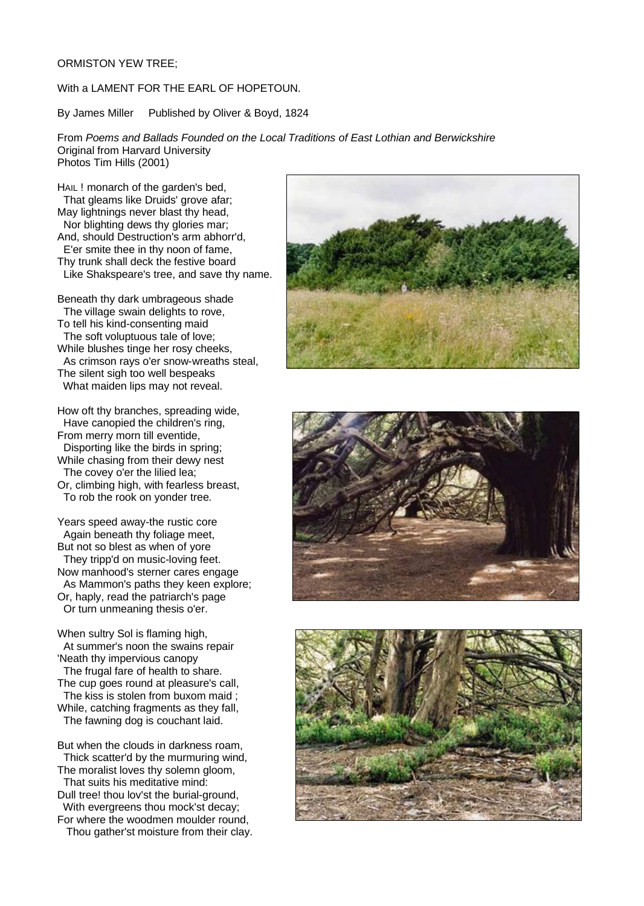## ORMISTON YEW TREE;

# With a LAMENT FOR THE EARL OF HOPETOUN.

By James Miller Published by Oliver & Boyd, 1824

From *Poems and Ballads Founded on the Local Traditions of East Lothian and Berwickshire* Original from Harvard University Photos Tim Hills (2001)

HAIL ! monarch of the garden's bed, That gleams like Druids' grove afar; May lightnings never blast thy head, Nor blighting dews thy glories mar; And, should Destruction's arm abhorr'd, E'er smite thee in thy noon of fame, Thy trunk shall deck the festive board Like Shakspeare's tree, and save thy name.

Beneath thy dark umbrageous shade The village swain delights to rove, To tell his kind-consenting maid The soft voluptuous tale of love; While blushes tinge her rosy cheeks, As crimson rays o'er snow-wreaths steal, The silent sigh too well bespeaks What maiden lips may not reveal.

How oft thy branches, spreading wide, Have canopied the children's ring, From merry morn till eventide, Disporting like the birds in spring; While chasing from their dewy nest The covey o'er the lilied lea; Or, climbing high, with fearless breast, To rob the rook on yonder tree.

Years speed away-the rustic core Again beneath thy foliage meet, But not so blest as when of yore They tripp'd on music-loving feet. Now manhood's sterner cares engage As Mammon's paths they keen explore; Or, haply, read the patriarch's page Or turn unmeaning thesis o'er.

When sultry Sol is flaming high, At summer's noon the swains repair

'Neath thy impervious canopy The frugal fare of health to share. The cup goes round at pleasure's call, The kiss is stolen from buxom maid ;

While, catching fragments as they fall, The fawning dog is couchant laid.

But when the clouds in darkness roam, Thick scatter'd by the murmuring wind, The moralist loves thy solemn gloom,

That suits his meditative mind: Dull tree! thou lov'st the burial-ground,

With evergreens thou mock'st decay; For where the woodmen moulder round,

Thou gather'st moisture from their clay.





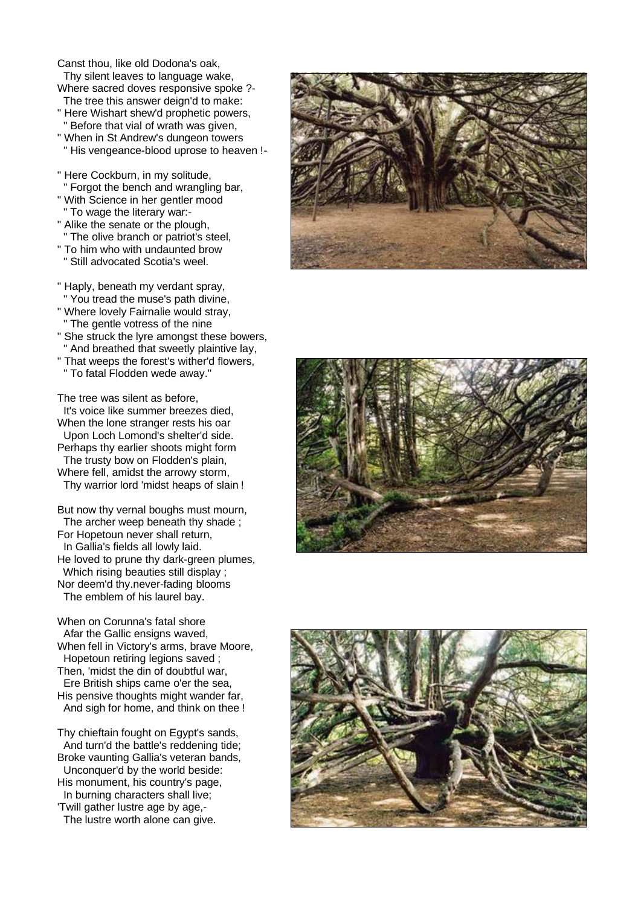Canst thou, like old Dodona's oak, Thy silent leaves to language wake,

- Where sacred doves responsive spoke ?- The tree this answer deign'd to make:
- " Here Wishart shew'd prophetic powers, " Before that vial of wrath was given,
- " When in St Andrew's dungeon towers " His vengeance-blood uprose to heaven !-
- " Here Cockburn, in my solitude, " Forgot the bench and wrangling bar,
- " With Science in her gentler mood " To wage the literary war:-
- " Alike the senate or the plough, " The olive branch or patriot's steel,
- " To him who with undaunted brow
- " Still advocated Scotia's weel.
- " Haply, beneath my verdant spray, " You tread the muse's path divine,
- " Where lovely Fairnalie would stray, " The gentle votress of the nine
- " She struck the lyre amongst these bowers, " And breathed that sweetly plaintive lay,
- " That weeps the forest's wither'd flowers, " To fatal Flodden wede away."

The tree was silent as before, It's voice like summer breezes died, When the lone stranger rests his oar Upon Loch Lomond's shelter'd side.

Perhaps thy earlier shoots might form The trusty bow on Flodden's plain, Where fell, amidst the arrowy storm,

Thy warrior lord 'midst heaps of slain !

But now thy vernal boughs must mourn, The archer weep beneath thy shade ; For Hopetoun never shall return, In Gallia's fields all lowly laid. He loved to prune thy dark-green plumes, Which rising beauties still display : Nor deem'd thy.never-fading blooms The emblem of his laurel bay.

When on Corunna's fatal shore Afar the Gallic ensigns waved. When fell in Victory's arms, brave Moore, Hopetoun retiring legions saved ; Then, 'midst the din of doubtful war, Ere British ships came o'er the sea, His pensive thoughts might wander far, And sigh for home, and think on thee !

Thy chieftain fought on Egypt's sands, And turn'd the battle's reddening tide; Broke vaunting Gallia's veteran bands, Unconquer'd by the world beside: His monument, his country's page, In burning characters shall live; 'Twill gather lustre age by age,- The lustre worth alone can give.